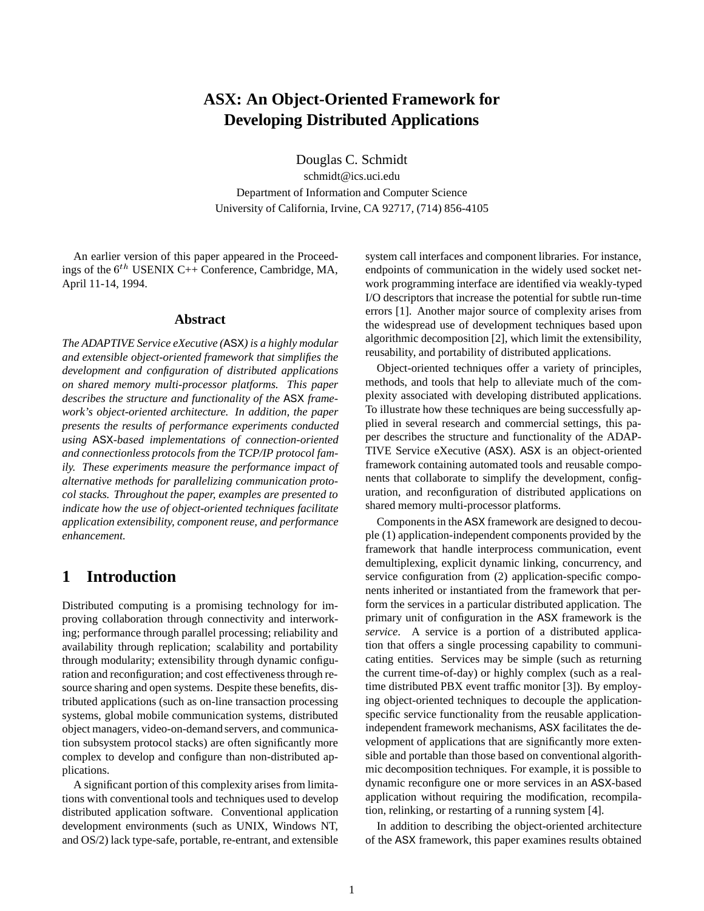# **ASX: An Object-Oriented Framework for Developing Distributed Applications**

Douglas C. Schmidt

schmidt@ics.uci.edu Department of Information and Computer Science University of California, Irvine, CA 92717, (714) 856-4105

An earlier version of this paper appeared in the Proceedings of the  $6<sup>th</sup>$  USENIX C++ Conference, Cambridge, MA, April 11-14, 1994.

#### **Abstract**

*The ADAPTIVE Service eXecutive (*ASX*) is a highly modular and extensible object-oriented framework that simplifies the development and configuration of distributed applications on shared memory multi-processor platforms. This paper describes the structure and functionality of the* ASX *framework's object-oriented architecture. In addition, the paper presents the results of performance experiments conducted using* ASX*-based implementations of connection-oriented and connectionless protocols from the TCP/IP protocol family. These experiments measure the performance impact of alternative methods for parallelizing communication protocol stacks. Throughout the paper, examples are presented to indicate how the use of object-oriented techniques facilitate application extensibility, component reuse, and performance enhancement.*

# **1 Introduction**

Distributed computing is a promising technology for improving collaboration through connectivity and interworking; performance through parallel processing; reliability and availability through replication; scalability and portability through modularity; extensibility through dynamic configuration and reconfiguration; and cost effectiveness through resource sharing and open systems. Despite these benefits, distributed applications (such as on-line transaction processing systems, global mobile communication systems, distributed object managers, video-on-demand servers, and communication subsystem protocol stacks) are often significantly more complex to develop and configure than non-distributed applications.

A significant portion of this complexity arises from limitations with conventional tools and techniques used to develop distributed application software. Conventional application development environments (such as UNIX, Windows NT, and OS/2) lack type-safe, portable, re-entrant, and extensible system call interfaces and component libraries. For instance, endpoints of communication in the widely used socket network programming interface are identified via weakly-typed I/O descriptors that increase the potential for subtle run-time errors [1]. Another major source of complexity arises from the widespread use of development techniques based upon algorithmic decomposition [2], which limit the extensibility, reusability, and portability of distributed applications.

Object-oriented techniques offer a variety of principles, methods, and tools that help to alleviate much of the complexity associated with developing distributed applications. To illustrate how these techniques are being successfully applied in several research and commercial settings, this paper describes the structure and functionality of the ADAP-TIVE Service eXecutive (ASX). ASX is an object-oriented framework containing automated tools and reusable components that collaborate to simplify the development, configuration, and reconfiguration of distributed applications on shared memory multi-processor platforms.

Components in the ASX framework are designed to decouple (1) application-independent components provided by the framework that handle interprocess communication, event demultiplexing, explicit dynamic linking, concurrency, and service configuration from (2) application-specific components inherited or instantiated from the framework that perform the services in a particular distributed application. The primary unit of configuration in the ASX framework is the *service*. A service is a portion of a distributed application that offers a single processing capability to communicating entities. Services may be simple (such as returning the current time-of-day) or highly complex (such as a realtime distributed PBX event traffic monitor [3]). By employing object-oriented techniques to decouple the applicationspecific service functionality from the reusable applicationindependent framework mechanisms, ASX facilitates the development of applications that are significantly more extensible and portable than those based on conventional algorithmic decomposition techniques. For example, it is possible to dynamic reconfigure one or more services in an ASX-based application without requiring the modification, recompilation, relinking, or restarting of a running system [4].

In addition to describing the object-oriented architecture of the ASX framework, this paper examines results obtained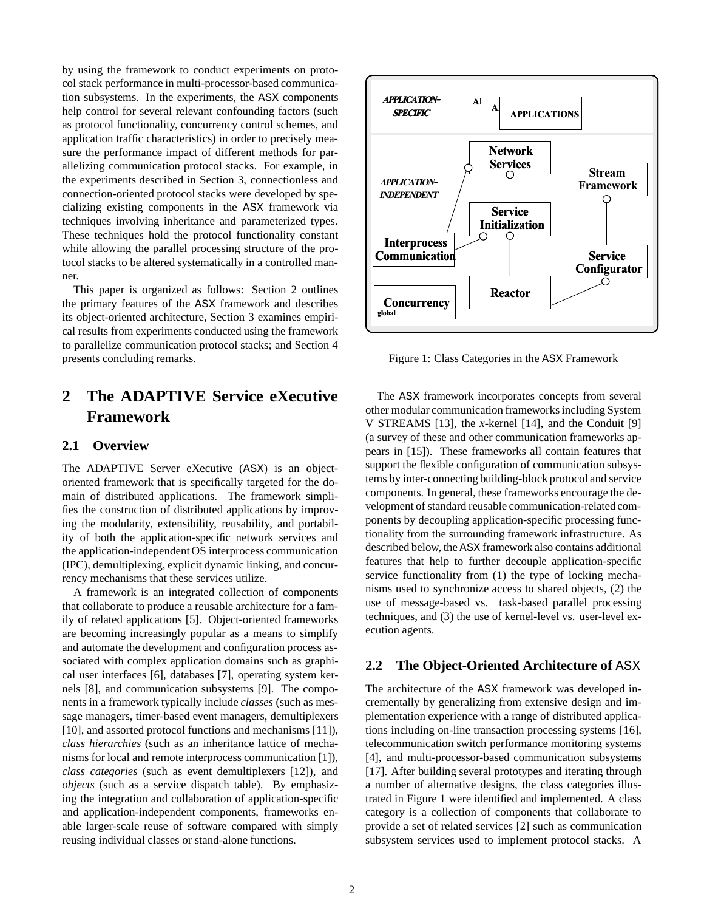by using the framework to conduct experiments on protocol stack performance in multi-processor-based communication subsystems. In the experiments, the ASX components help control for several relevant confounding factors (such as protocol functionality, concurrency control schemes, and application traffic characteristics) in order to precisely measure the performance impact of different methods for parallelizing communication protocol stacks. For example, in the experiments described in Section 3, connectionless and connection-oriented protocol stacks were developed by specializing existing components in the ASX framework via techniques involving inheritance and parameterized types. These techniques hold the protocol functionality constant while allowing the parallel processing structure of the protocol stacks to be altered systematically in a controlled manner.

This paper is organized as follows: Section 2 outlines the primary features of the ASX framework and describes its object-oriented architecture, Section 3 examines empirical results from experiments conducted using the framework to parallelize communication protocol stacks; and Section 4 presents concluding remarks.

# **2 The ADAPTIVE Service eXecutive Framework**

## **2.1 Overview**

The ADAPTIVE Server eXecutive (ASX) is an objectoriented framework that is specifically targeted for the domain of distributed applications. The framework simplifies the construction of distributed applications by improving the modularity, extensibility, reusability, and portability of both the application-specific network services and the application-independent OS interprocess communication (IPC), demultiplexing, explicit dynamic linking, and concurrency mechanisms that these services utilize.

A framework is an integrated collection of components that collaborate to produce a reusable architecture for a family of related applications [5]. Object-oriented frameworks are becoming increasingly popular as a means to simplify and automate the development and configuration process associated with complex application domains such as graphical user interfaces [6], databases [7], operating system kernels [8], and communication subsystems [9]. The components in a framework typically include *classes* (such as message managers, timer-based event managers, demultiplexers [10], and assorted protocol functions and mechanisms [11]), *class hierarchies* (such as an inheritance lattice of mechanisms for local and remote interprocess communication [1]), *class categories* (such as event demultiplexers [12]), and *objects* (such as a service dispatch table). By emphasizing the integration and collaboration of application-specific and application-independent components, frameworks enable larger-scale reuse of software compared with simply reusing individual classes or stand-alone functions.



Figure 1: Class Categories in the ASX Framework

The ASX framework incorporates concepts from several other modular communication frameworks including System V STREAMS [13], the *x*-kernel [14], and the Conduit [9] (a survey of these and other communication frameworks appears in [15]). These frameworks all contain features that support the flexible configuration of communication subsystems by inter-connecting building-block protocol and service components. In general, these frameworks encourage the development of standard reusable communication-related components by decoupling application-specific processing functionality from the surrounding framework infrastructure. As described below, the ASX framework also contains additional features that help to further decouple application-specific service functionality from (1) the type of locking mechanisms used to synchronize access to shared objects, (2) the use of message-based vs. task-based parallel processing techniques, and (3) the use of kernel-level vs. user-level execution agents.

## **2.2 The Object-Oriented Architecture of** ASX

The architecture of the ASX framework was developed incrementally by generalizing from extensive design and implementation experience with a range of distributed applications including on-line transaction processing systems [16], telecommunication switch performance monitoring systems [4], and multi-processor-based communication subsystems [17]. After building several prototypes and iterating through a number of alternative designs, the class categories illustrated in Figure 1 were identified and implemented. A class category is a collection of components that collaborate to provide a set of related services [2] such as communication subsystem services used to implement protocol stacks. A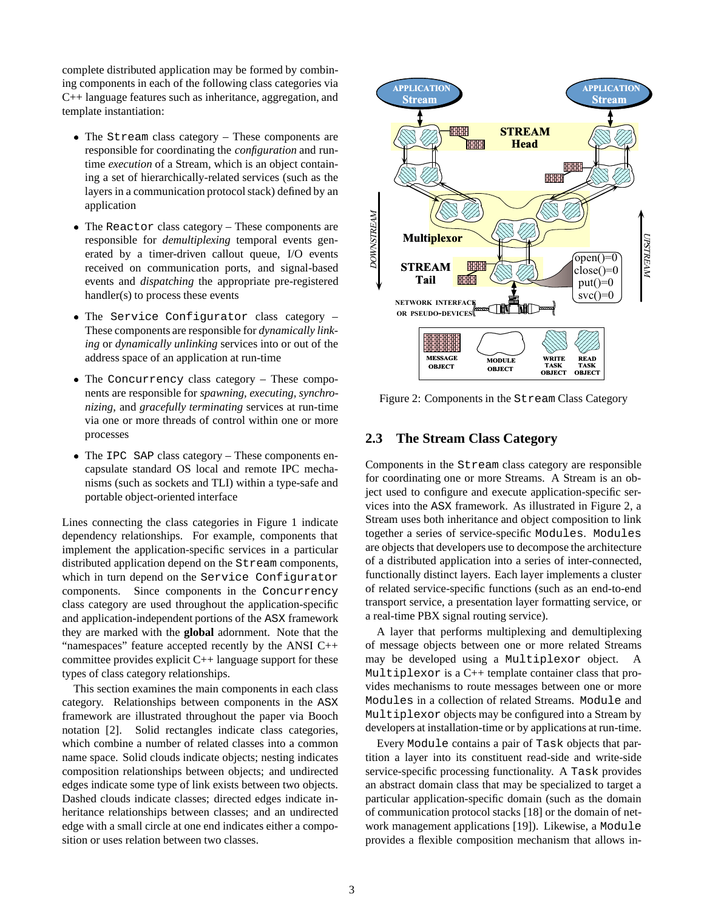complete distributed application may be formed by combining components in each of the following class categories via C++ language features such as inheritance, aggregation, and template instantiation:

- The Stream class category These components are responsible for coordinating the *configuration* and runtime *execution* of a Stream, which is an object containing a set of hierarchically-related services (such as the layers in a communication protocol stack) defined by an application
- The Reactor class category These components are responsible for *demultiplexing* temporal events generated by a timer-driven callout queue, I/O events received on communication ports, and signal-based events and *dispatching* the appropriate pre-registered handler(s) to process these events
- The Service Configurator class category These components are responsible for *dynamically linking* or *dynamically unlinking* services into or out of the address space of an application at run-time
- The Concurrency class category These components are responsible for *spawning, executing, synchronizing*, and *gracefully terminating* services at run-time via one or more threads of control within one or more processes
- The IPC SAP class category These components encapsulate standard OS local and remote IPC mechanisms (such as sockets and TLI) within a type-safe and portable object-oriented interface

Lines connecting the class categories in Figure 1 indicate dependency relationships. For example, components that implement the application-specific services in a particular distributed application depend on the Stream components, which in turn depend on the Service Configurator components. Since components in the Concurrency class category are used throughout the application-specific and application-independent portions of the ASX framework they are marked with the **global** adornment. Note that the "namespaces" feature accepted recently by the ANSI C++ committee provides explicit C++ language support for these types of class category relationships.

This section examines the main components in each class category. Relationships between components in the ASX framework are illustrated throughout the paper via Booch notation [2]. Solid rectangles indicate class categories, which combine a number of related classes into a common name space. Solid clouds indicate objects; nesting indicates composition relationships between objects; and undirected edges indicate some type of link exists between two objects. Dashed clouds indicate classes; directed edges indicate inheritance relationships between classes; and an undirected edge with a small circle at one end indicates either a composition or uses relation between two classes.



Figure 2: Components in the Stream Class Category

## **2.3 The Stream Class Category**

Components in the Stream class category are responsible for coordinating one or more Streams. A Stream is an object used to configure and execute application-specific services into the ASX framework. As illustrated in Figure 2, a Stream uses both inheritance and object composition to link together a series of service-specific Modules. Modules are objects that developers use to decompose the architecture of a distributed application into a series of inter-connected, functionally distinct layers. Each layer implements a cluster of related service-specific functions (such as an end-to-end transport service, a presentation layer formatting service, or a real-time PBX signal routing service).

A layer that performs multiplexing and demultiplexing of message objects between one or more related Streams may be developed using a Multiplexor object. A Multiplexor is a C++ template container class that provides mechanisms to route messages between one or more Modules in a collection of related Streams. Module and Multiplexor objects may be configured into a Stream by developers at installation-time or by applications at run-time.

Every Module contains a pair of Task objects that partition a layer into its constituent read-side and write-side service-specific processing functionality. A Task provides an abstract domain class that may be specialized to target a particular application-specific domain (such as the domain of communication protocol stacks [18] or the domain of network management applications [19]). Likewise, a Module provides a flexible composition mechanism that allows in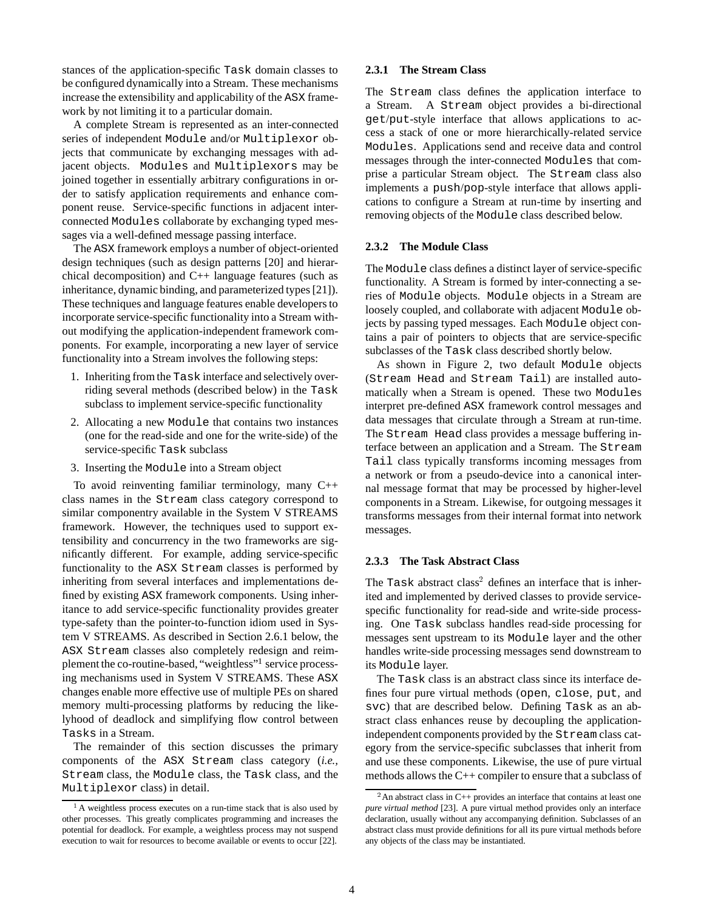stances of the application-specific Task domain classes to be configured dynamically into a Stream. These mechanisms increase the extensibility and applicability of the ASX framework by not limiting it to a particular domain.

A complete Stream is represented as an inter-connected series of independent Module and/or Multiplexor objects that communicate by exchanging messages with adjacent objects. Modules and Multiplexors may be joined together in essentially arbitrary configurations in order to satisfy application requirements and enhance component reuse. Service-specific functions in adjacent interconnected Modules collaborate by exchanging typed messages via a well-defined message passing interface.

The ASX framework employs a number of object-oriented design techniques (such as design patterns [20] and hierarchical decomposition) and C++ language features (such as inheritance, dynamic binding, and parameterized types [21]). These techniques and language features enable developers to incorporate service-specific functionality into a Stream without modifying the application-independent framework components. For example, incorporating a new layer of service functionality into a Stream involves the following steps:

- 1. Inheriting from the Task interface and selectively overriding several methods (described below) in the Task subclass to implement service-specific functionality
- 2. Allocating a new Module that contains two instances (one for the read-side and one for the write-side) of the service-specific Task subclass
- 3. Inserting the Module into a Stream object

To avoid reinventing familiar terminology, many C++ class names in the Stream class category correspond to similar componentry available in the System V STREAMS framework. However, the techniques used to support extensibility and concurrency in the two frameworks are significantly different. For example, adding service-specific functionality to the ASX Stream classes is performed by inheriting from several interfaces and implementations defined by existing ASX framework components. Using inheritance to add service-specific functionality provides greater type-safety than the pointer-to-function idiom used in System V STREAMS. As described in Section 2.6.1 below, the ASX Stream classes also completely redesign and reimplement the co-routine-based, "weightless"<sup>1</sup> service processing mechanisms used in System V STREAMS. These ASX changes enable more effective use of multiple PEs on shared memory multi-processing platforms by reducing the likelyhood of deadlock and simplifying flow control between Tasks in a Stream.

The remainder of this section discusses the primary components of the ASX Stream class category (*i.e.,* Stream class, the Module class, the Task class, and the Multiplexor class) in detail.

#### **2.3.1 The Stream Class**

The Stream class defines the application interface to a Stream. A Stream object provides a bi-directional get/put-style interface that allows applications to access a stack of one or more hierarchically-related service Modules. Applications send and receive data and control messages through the inter-connected Modules that comprise a particular Stream object. The Stream class also implements a push/pop-style interface that allows applications to configure a Stream at run-time by inserting and removing objects of the Module class described below.

#### **2.3.2 The Module Class**

The Module class defines a distinct layer of service-specific functionality. A Stream is formed by inter-connecting a series of Module objects. Module objects in a Stream are loosely coupled, and collaborate with adjacent Module objects by passing typed messages. Each Module object contains a pair of pointers to objects that are service-specific subclasses of the Task class described shortly below.

As shown in Figure 2, two default Module objects (Stream Head and Stream Tail) are installed automatically when a Stream is opened. These two Modules interpret pre-defined ASX framework control messages and data messages that circulate through a Stream at run-time. The Stream Head class provides a message buffering interface between an application and a Stream. The Stream Tail class typically transforms incoming messages from a network or from a pseudo-device into a canonical internal message format that may be processed by higher-level components in a Stream. Likewise, for outgoing messages it transforms messages from their internal format into network messages.

#### **2.3.3 The Task Abstract Class**

The Task abstract class<sup>2</sup> defines an interface that is inherited and implemented by derived classes to provide servicespecific functionality for read-side and write-side processing. One Task subclass handles read-side processing for messages sent upstream to its Module layer and the other handles write-side processing messages send downstream to its Module layer.

The Task class is an abstract class since its interface defines four pure virtual methods (open, close, put, and svc) that are described below. Defining Task as an abstract class enhances reuse by decoupling the applicationindependent components provided by the Stream class category from the service-specific subclasses that inherit from and use these components. Likewise, the use of pure virtual methods allows the C++ compiler to ensure that a subclass of

<sup>&</sup>lt;sup>1</sup>A weightless process executes on a run-time stack that is also used by other processes. This greatly complicates programming and increases the potential for deadlock. For example, a weightless process may not suspend execution to wait for resources to become available or events to occur [22].

<sup>&</sup>lt;sup>2</sup>An abstract class in C++ provides an interface that contains at least one *pure virtual method* [23]. A pure virtual method provides only an interface declaration, usually without any accompanying definition. Subclasses of an abstract class must provide definitions for all its pure virtual methods before any objects of the class may be instantiated.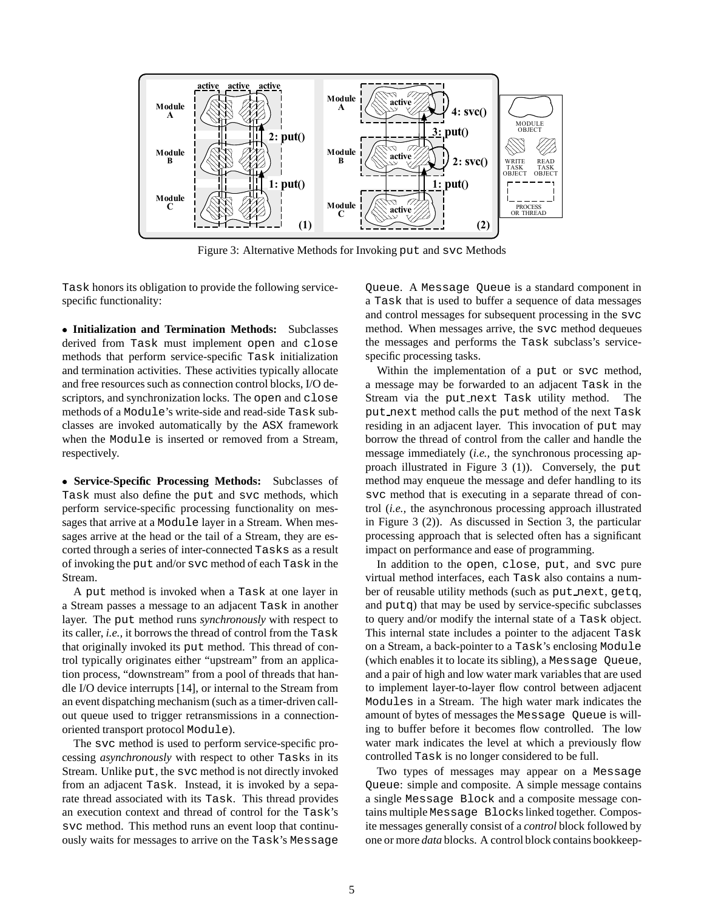

Figure 3: Alternative Methods for Invoking put and svc Methods

Task honors its obligation to provide the following servicespecific functionality:

 **Initialization and Termination Methods:** Subclasses derived from Task must implement open and close methods that perform service-specific Task initialization and termination activities. These activities typically allocate and free resources such as connection control blocks, I/O descriptors, and synchronization locks. The open and close methods of a Module's write-side and read-side Task subclasses are invoked automatically by the ASX framework when the Module is inserted or removed from a Stream, respectively.

 **Service-Specific Processing Methods:** Subclasses of Task must also define the put and svc methods, which perform service-specific processing functionality on messages that arrive at a Module layer in a Stream. When messages arrive at the head or the tail of a Stream, they are escorted through a series of inter-connected Tasks as a result of invoking the put and/or svc method of each Task in the Stream.

A put method is invoked when a Task at one layer in a Stream passes a message to an adjacent Task in another layer. The put method runs *synchronously* with respect to its caller, *i.e.,* it borrows the thread of control from the Task that originally invoked its put method. This thread of control typically originates either "upstream" from an application process, "downstream" from a pool of threads that handle I/O device interrupts [14], or internal to the Stream from an event dispatching mechanism (such as a timer-driven callout queue used to trigger retransmissions in a connectionoriented transport protocol Module).

The svc method is used to perform service-specific processing *asynchronously* with respect to other Tasks in its Stream. Unlike put, the svc method is not directly invoked from an adjacent Task. Instead, it is invoked by a separate thread associated with its Task. This thread provides an execution context and thread of control for the Task's svc method. This method runs an event loop that continuously waits for messages to arrive on the Task's Message

Queue. A Message Queue is a standard component in a Task that is used to buffer a sequence of data messages and control messages for subsequent processing in the svc method. When messages arrive, the svc method dequeues the messages and performs the Task subclass's servicespecific processing tasks.

Within the implementation of a put or svc method, a message may be forwarded to an adjacent Task in the Stream via the put next Task utility method. The put next method calls the put method of the next Task residing in an adjacent layer. This invocation of put may borrow the thread of control from the caller and handle the message immediately (*i.e.,* the synchronous processing approach illustrated in Figure 3 (1)). Conversely, the put method may enqueue the message and defer handling to its svc method that is executing in a separate thread of control (*i.e.,* the asynchronous processing approach illustrated in Figure 3 (2)). As discussed in Section 3, the particular processing approach that is selected often has a significant impact on performance and ease of programming.

In addition to the open, close, put, and svc pure virtual method interfaces, each Task also contains a number of reusable utility methods (such as put next, getq, and putq) that may be used by service-specific subclasses to query and/or modify the internal state of a Task object. This internal state includes a pointer to the adjacent Task on a Stream, a back-pointer to a Task's enclosing Module (which enables it to locate its sibling), a Message Queue, and a pair of high and low water mark variables that are used to implement layer-to-layer flow control between adjacent Modules in a Stream. The high water mark indicates the amount of bytes of messages the Message Queue is willing to buffer before it becomes flow controlled. The low water mark indicates the level at which a previously flow controlled Task is no longer considered to be full.

Two types of messages may appear on a Message Queue: simple and composite. A simple message contains a single Message Block and a composite message contains multiple Message Blocks linked together. Composite messages generally consist of a *control* block followed by one or more *data* blocks. A control block contains bookkeep-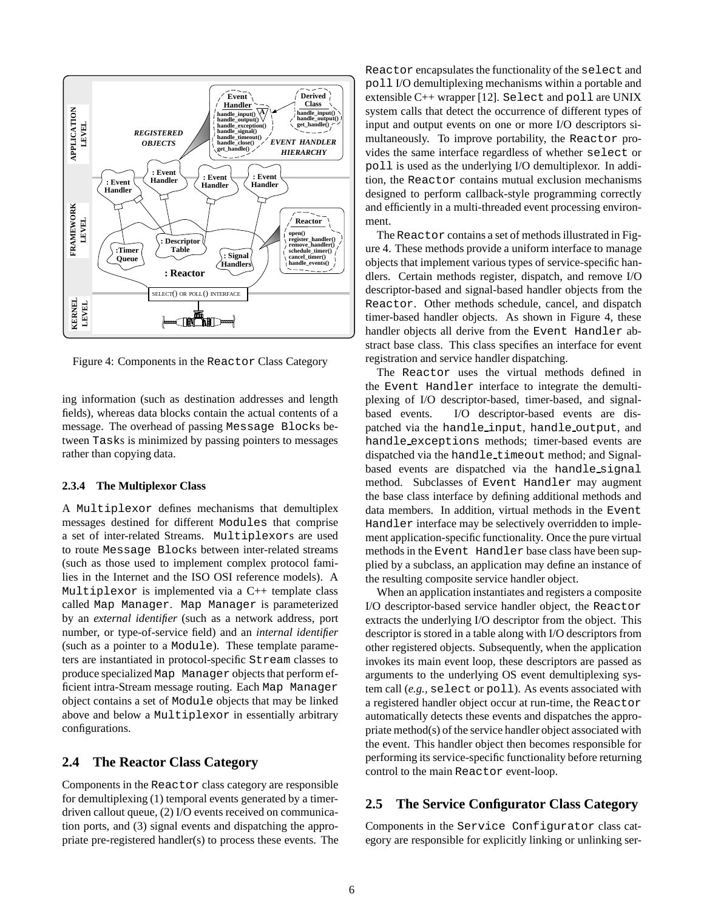

Figure 4: Components in the Reactor Class Category

ing information (such as destination addresses and length fields), whereas data blocks contain the actual contents of a message. The overhead of passing Message Blocks between Tasks is minimized by passing pointers to messages rather than copying data.

### **2.3.4 The Multiplexor Class**

A Multiplexor defines mechanisms that demultiplex messages destined for different Modules that comprise a set of inter-related Streams. Multiplexors are used to route Message Blocks between inter-related streams (such as those used to implement complex protocol families in the Internet and the ISO OSI reference models). A Multiplexor is implemented via a C++ template class called Map Manager. Map Manager is parameterized by an *external identifier* (such as a network address, port number, or type-of-service field) and an *internal identifier* (such as a pointer to a Module). These template parameters are instantiated in protocol-specific Stream classes to produce specialized Map Manager objects that perform efficient intra-Stream message routing. Each Map Manager object contains a set of Module objects that may be linked above and below a Multiplexor in essentially arbitrary configurations.

## **2.4 The Reactor Class Category**

Components in the Reactor class category are responsible for demultiplexing (1) temporal events generated by a timerdriven callout queue, (2) I/O events received on communication ports, and (3) signal events and dispatching the appropriate pre-registered handler(s) to process these events. The Reactor encapsulates the functionality of the select and poll I/O demultiplexing mechanisms within a portable and extensible C++ wrapper [12]. Select and poll are UNIX system calls that detect the occurrence of different types of input and output events on one or more I/O descriptors simultaneously. To improve portability, the Reactor provides the same interface regardless of whether select or poll is used as the underlying I/O demultiplexor. In addition, the Reactor contains mutual exclusion mechanisms designed to perform callback-style programming correctly and efficiently in a multi-threaded event processing environment.

The Reactor contains a set of methods illustrated in Figure 4. These methods provide a uniform interface to manage objects that implement various types of service-specific handlers. Certain methods register, dispatch, and remove I/O descriptor-based and signal-based handler objects from the Reactor. Other methods schedule, cancel, and dispatch timer-based handler objects. As shown in Figure 4, these handler objects all derive from the Event Handler abstract base class. This class specifies an interface for event registration and service handler dispatching.

The Reactor uses the virtual methods defined in the Event Handler interface to integrate the demultiplexing of I/O descriptor-based, timer-based, and signalbased events. I/O descriptor-based events are dispatched via the handle input, handle output, and handle exceptions methods; timer-based events are dispatched via the handle timeout method; and Signalbased events are dispatched via the handle signal method. Subclasses of Event Handler may augment the base class interface by defining additional methods and data members. In addition, virtual methods in the Event Handler interface may be selectively overridden to implement application-specific functionality. Once the pure virtual methods in the Event Handler base class have been supplied by a subclass, an application may define an instance of the resulting composite service handler object.

When an application instantiates and registers a composite I/O descriptor-based service handler object, the Reactor extracts the underlying I/O descriptor from the object. This descriptor is stored in a table along with I/O descriptors from other registered objects. Subsequently, when the application invokes its main event loop, these descriptors are passed as arguments to the underlying OS event demultiplexing system call (*e.g.,* select or poll). As events associated with a registered handler object occur at run-time, the Reactor automatically detects these events and dispatches the appropriate method(s) of the service handler object associated with the event. This handler object then becomes responsible for performing its service-specific functionality before returning control to the main Reactor event-loop.

## **2.5 The Service Configurator Class Category**

Components in the Service Configurator class category are responsible for explicitly linking or unlinking ser-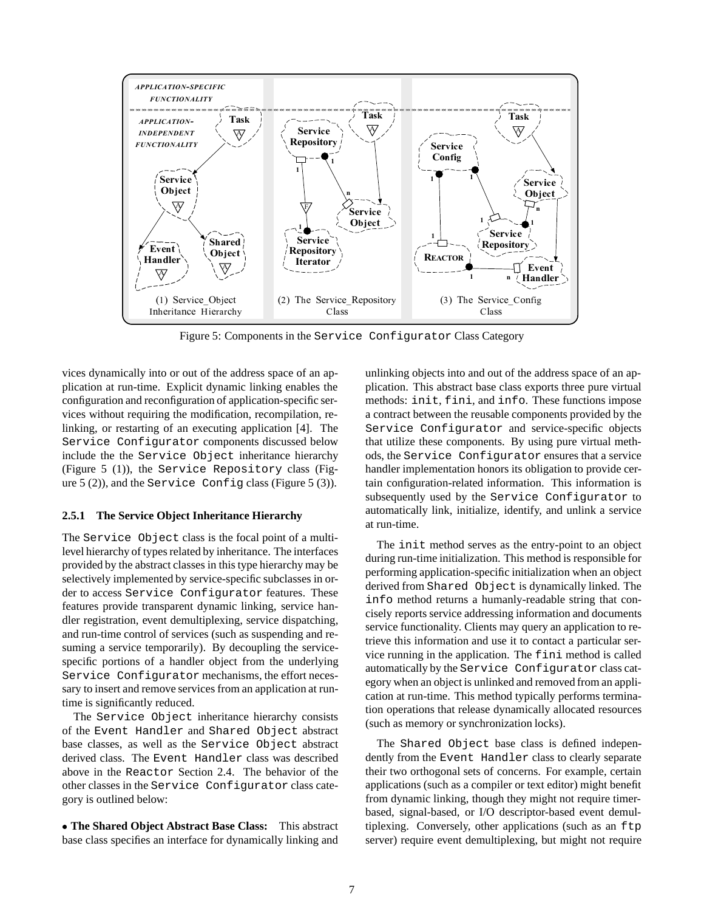

Figure 5: Components in the Service Configurator Class Category

vices dynamically into or out of the address space of an application at run-time. Explicit dynamic linking enables the configuration and reconfiguration of application-specific services without requiring the modification, recompilation, relinking, or restarting of an executing application [4]. The Service Configurator components discussed below include the the Service Object inheritance hierarchy (Figure 5 (1)), the Service Repository class (Figure 5 (2)), and the Service Config class (Figure 5 (3)).

#### **2.5.1 The Service Object Inheritance Hierarchy**

The Service Object class is the focal point of a multilevel hierarchy of types related by inheritance. The interfaces provided by the abstract classes in this type hierarchy may be selectively implemented by service-specific subclasses in order to access Service Configurator features. These features provide transparent dynamic linking, service handler registration, event demultiplexing, service dispatching, and run-time control of services (such as suspending and resuming a service temporarily). By decoupling the servicespecific portions of a handler object from the underlying Service Configurator mechanisms, the effort necessary to insert and remove services from an application at runtime is significantly reduced.

The Service Object inheritance hierarchy consists of the Event Handler and Shared Object abstract base classes, as well as the Service Object abstract derived class. The Event Handler class was described above in the Reactor Section 2.4. The behavior of the other classes in the Service Configurator class category is outlined below:

 **The Shared Object Abstract Base Class:** This abstract base class specifies an interface for dynamically linking and unlinking objects into and out of the address space of an application. This abstract base class exports three pure virtual methods: init, fini, and info. These functions impose a contract between the reusable components provided by the Service Configurator and service-specific objects that utilize these components. By using pure virtual methods, the Service Configurator ensures that a service handler implementation honors its obligation to provide certain configuration-related information. This information is subsequently used by the Service Configurator to automatically link, initialize, identify, and unlink a service at run-time.

The init method serves as the entry-point to an object during run-time initialization. This method is responsible for performing application-specific initialization when an object derived from Shared Object is dynamically linked. The info method returns a humanly-readable string that concisely reports service addressing information and documents service functionality. Clients may query an application to retrieve this information and use it to contact a particular service running in the application. The fini method is called automatically by the Service Configurator class category when an object is unlinked and removed from an application at run-time. This method typically performs termination operations that release dynamically allocated resources (such as memory or synchronization locks).

The Shared Object base class is defined independently from the Event Handler class to clearly separate their two orthogonal sets of concerns. For example, certain applications (such as a compiler or text editor) might benefit from dynamic linking, though they might not require timerbased, signal-based, or I/O descriptor-based event demultiplexing. Conversely, other applications (such as an ftp server) require event demultiplexing, but might not require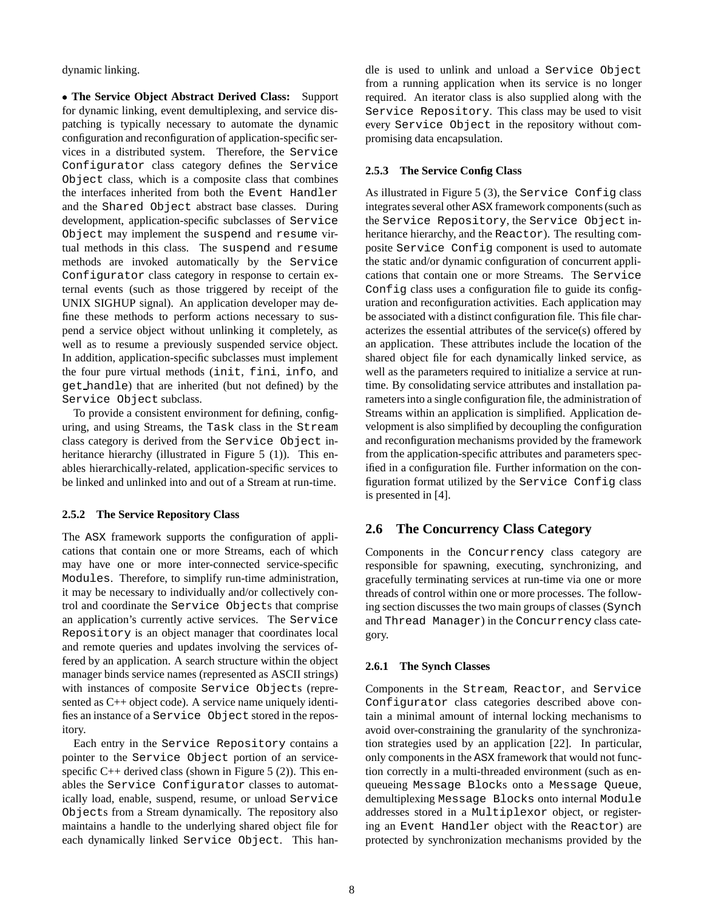dynamic linking.

 **The Service Object Abstract Derived Class:** Support for dynamic linking, event demultiplexing, and service dispatching is typically necessary to automate the dynamic configuration and reconfiguration of application-specific services in a distributed system. Therefore, the Service Configurator class category defines the Service Object class, which is a composite class that combines the interfaces inherited from both the Event Handler and the Shared Object abstract base classes. During development, application-specific subclasses of Service Object may implement the suspend and resume virtual methods in this class. The suspend and resume methods are invoked automatically by the Service Configurator class category in response to certain external events (such as those triggered by receipt of the UNIX SIGHUP signal). An application developer may define these methods to perform actions necessary to suspend a service object without unlinking it completely, as well as to resume a previously suspended service object. In addition, application-specific subclasses must implement the four pure virtual methods (init, fini, info, and get handle) that are inherited (but not defined) by the Service Object subclass.

To provide a consistent environment for defining, configuring, and using Streams, the Task class in the Stream class category is derived from the Service Object inheritance hierarchy (illustrated in Figure 5 (1)). This enables hierarchically-related, application-specific services to be linked and unlinked into and out of a Stream at run-time.

#### **2.5.2 The Service Repository Class**

The ASX framework supports the configuration of applications that contain one or more Streams, each of which may have one or more inter-connected service-specific Modules. Therefore, to simplify run-time administration, it may be necessary to individually and/or collectively control and coordinate the Service Objects that comprise an application's currently active services. The Service Repository is an object manager that coordinates local and remote queries and updates involving the services offered by an application. A search structure within the object manager binds service names (represented as ASCII strings) with instances of composite Service Objects (represented as C++ object code). A service name uniquely identifies an instance of a Service Object stored in the repository.

Each entry in the Service Repository contains a pointer to the Service Object portion of an servicespecific  $C_{++}$  derived class (shown in Figure 5 (2)). This enables the Service Configurator classes to automatically load, enable, suspend, resume, or unload Service Objects from a Stream dynamically. The repository also maintains a handle to the underlying shared object file for each dynamically linked Service Object. This handle is used to unlink and unload a Service Object from a running application when its service is no longer required. An iterator class is also supplied along with the Service Repository. This class may be used to visit every Service Object in the repository without compromising data encapsulation.

#### **2.5.3 The Service Config Class**

As illustrated in Figure 5 (3), the Service Config class integrates several other ASX framework components (such as the Service Repository, the Service Object inheritance hierarchy, and the Reactor). The resulting composite Service Config component is used to automate the static and/or dynamic configuration of concurrent applications that contain one or more Streams. The Service Config class uses a configuration file to guide its configuration and reconfiguration activities. Each application may be associated with a distinct configuration file. This file characterizes the essential attributes of the service(s) offered by an application. These attributes include the location of the shared object file for each dynamically linked service, as well as the parameters required to initialize a service at runtime. By consolidating service attributes and installation parameters into a single configuration file, the administration of Streams within an application is simplified. Application development is also simplified by decoupling the configuration and reconfiguration mechanisms provided by the framework from the application-specific attributes and parameters specified in a configuration file. Further information on the configuration format utilized by the Service Config class is presented in [4].

## **2.6 The Concurrency Class Category**

Components in the Concurrency class category are responsible for spawning, executing, synchronizing, and gracefully terminating services at run-time via one or more threads of control within one or more processes. The following section discusses the two main groups of classes (Synch and Thread Manager) in the Concurrency class category.

#### **2.6.1 The Synch Classes**

Components in the Stream, Reactor, and Service Configurator class categories described above contain a minimal amount of internal locking mechanisms to avoid over-constraining the granularity of the synchronization strategies used by an application [22]. In particular, only components in the ASX framework that would not function correctly in a multi-threaded environment (such as enqueueing Message Blocks onto a Message Queue, demultiplexing Message Blocks onto internal Module addresses stored in a Multiplexor object, or registering an Event Handler object with the Reactor) are protected by synchronization mechanisms provided by the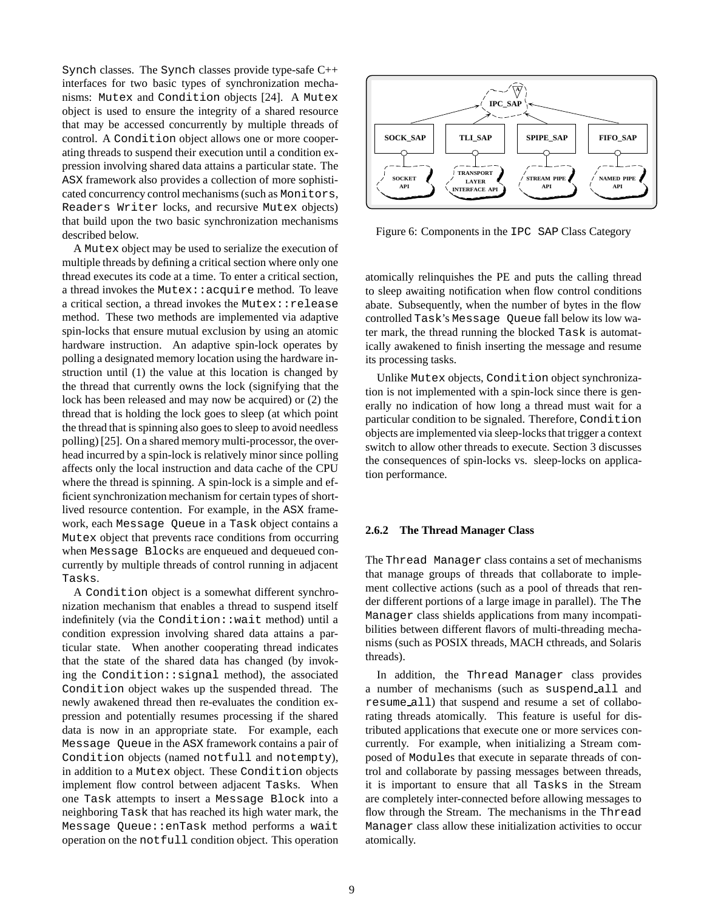Synch classes. The Synch classes provide type-safe C++ interfaces for two basic types of synchronization mechanisms: Mutex and Condition objects [24]. A Mutex object is used to ensure the integrity of a shared resource that may be accessed concurrently by multiple threads of control. A Condition object allows one or more cooperating threads to suspend their execution until a condition expression involving shared data attains a particular state. The ASX framework also provides a collection of more sophisticated concurrency control mechanisms (such as Monitors, Readers Writer locks, and recursive Mutex objects) that build upon the two basic synchronization mechanisms described below.

A Mutex object may be used to serialize the execution of multiple threads by defining a critical section where only one thread executes its code at a time. To enter a critical section, a thread invokes the Mutex::acquire method. To leave a critical section, a thread invokes the Mutex::release method. These two methods are implemented via adaptive spin-locks that ensure mutual exclusion by using an atomic hardware instruction. An adaptive spin-lock operates by polling a designated memory location using the hardware instruction until (1) the value at this location is changed by the thread that currently owns the lock (signifying that the lock has been released and may now be acquired) or (2) the thread that is holding the lock goes to sleep (at which point the thread that is spinning also goes to sleep to avoid needless polling) [25]. On a shared memory multi-processor, the overhead incurred by a spin-lock is relatively minor since polling affects only the local instruction and data cache of the CPU where the thread is spinning. A spin-lock is a simple and efficient synchronization mechanism for certain types of shortlived resource contention. For example, in the ASX framework, each Message Queue in a Task object contains a Mutex object that prevents race conditions from occurring when Message Blocks are enqueued and dequeued concurrently by multiple threads of control running in adjacent Tasks.

A Condition object is a somewhat different synchronization mechanism that enables a thread to suspend itself indefinitely (via the Condition::wait method) until a condition expression involving shared data attains a particular state. When another cooperating thread indicates that the state of the shared data has changed (by invoking the Condition::signal method), the associated Condition object wakes up the suspended thread. The newly awakened thread then re-evaluates the condition expression and potentially resumes processing if the shared data is now in an appropriate state. For example, each Message Queue in the ASX framework contains a pair of Condition objects (named notfull and notempty), in addition to a Mutex object. These Condition objects implement flow control between adjacent Tasks. When one Task attempts to insert a Message Block into a neighboring Task that has reached its high water mark, the Message Queue::enTask method performs a wait operation on the notfull condition object. This operation



Figure 6: Components in the IPC SAP Class Category

atomically relinquishes the PE and puts the calling thread to sleep awaiting notification when flow control conditions abate. Subsequently, when the number of bytes in the flow controlled Task's Message Queue fall below its low water mark, the thread running the blocked Task is automatically awakened to finish inserting the message and resume its processing tasks.

Unlike Mutex objects, Condition object synchronization is not implemented with a spin-lock since there is generally no indication of how long a thread must wait for a particular condition to be signaled. Therefore, Condition objects are implemented via sleep-locks that trigger a context switch to allow other threads to execute. Section 3 discusses the consequences of spin-locks vs. sleep-locks on application performance.

#### **2.6.2 The Thread Manager Class**

The Thread Manager class contains a set of mechanisms that manage groups of threads that collaborate to implement collective actions (such as a pool of threads that render different portions of a large image in parallel). The The Manager class shields applications from many incompatibilities between different flavors of multi-threading mechanisms (such as POSIX threads, MACH cthreads, and Solaris threads).

In addition, the Thread Manager class provides a number of mechanisms (such as suspend all and resume all) that suspend and resume a set of collaborating threads atomically. This feature is useful for distributed applications that execute one or more services concurrently. For example, when initializing a Stream composed of Modules that execute in separate threads of control and collaborate by passing messages between threads, it is important to ensure that all Tasks in the Stream are completely inter-connected before allowing messages to flow through the Stream. The mechanisms in the Thread Manager class allow these initialization activities to occur atomically.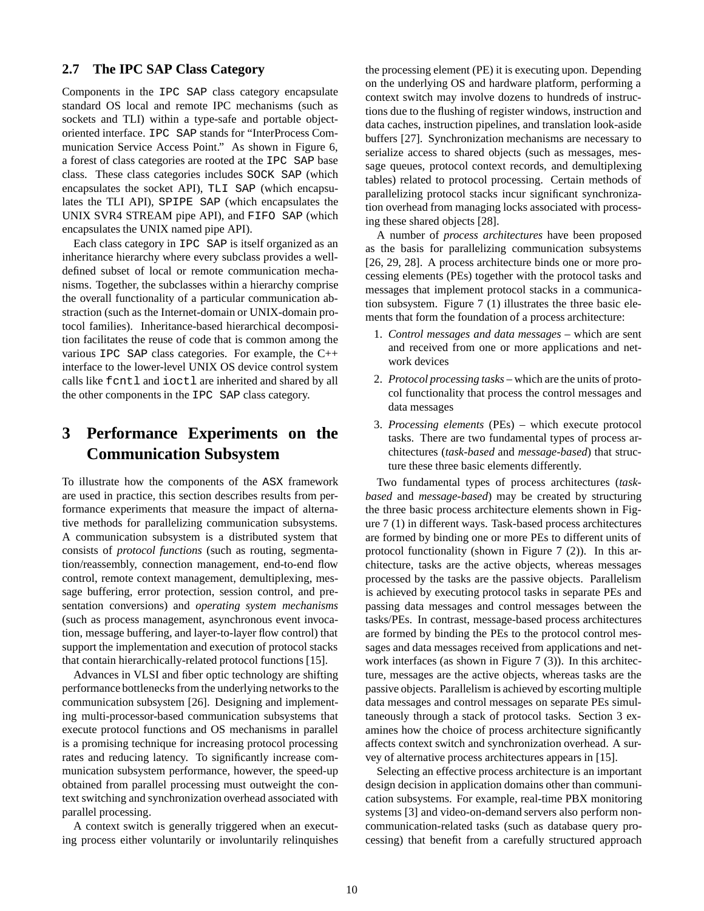## **2.7 The IPC SAP Class Category**

Components in the IPC SAP class category encapsulate standard OS local and remote IPC mechanisms (such as sockets and TLI) within a type-safe and portable objectoriented interface. IPC SAP stands for "InterProcess Communication Service Access Point." As shown in Figure 6, a forest of class categories are rooted at the IPC SAP base class. These class categories includes SOCK SAP (which encapsulates the socket API), TLI SAP (which encapsulates the TLI API), SPIPE SAP (which encapsulates the UNIX SVR4 STREAM pipe API), and FIFO SAP (which encapsulates the UNIX named pipe API).

Each class category in IPC SAP is itself organized as an inheritance hierarchy where every subclass provides a welldefined subset of local or remote communication mechanisms. Together, the subclasses within a hierarchy comprise the overall functionality of a particular communication abstraction (such as the Internet-domain or UNIX-domain protocol families). Inheritance-based hierarchical decomposition facilitates the reuse of code that is common among the various IPC SAP class categories. For example, the C++ interface to the lower-level UNIX OS device control system calls like fcntl and ioctl are inherited and shared by all the other components in the IPC SAP class category.

# **3 Performance Experiments on the Communication Subsystem**

To illustrate how the components of the ASX framework are used in practice, this section describes results from performance experiments that measure the impact of alternative methods for parallelizing communication subsystems. A communication subsystem is a distributed system that consists of *protocol functions* (such as routing, segmentation/reassembly, connection management, end-to-end flow control, remote context management, demultiplexing, message buffering, error protection, session control, and presentation conversions) and *operating system mechanisms* (such as process management, asynchronous event invocation, message buffering, and layer-to-layer flow control) that support the implementation and execution of protocol stacks that contain hierarchically-related protocol functions [15].

Advances in VLSI and fiber optic technology are shifting performance bottlenecks from the underlying networks to the communication subsystem [26]. Designing and implementing multi-processor-based communication subsystems that execute protocol functions and OS mechanisms in parallel is a promising technique for increasing protocol processing rates and reducing latency. To significantly increase communication subsystem performance, however, the speed-up obtained from parallel processing must outweight the context switching and synchronization overhead associated with parallel processing.

A context switch is generally triggered when an executing process either voluntarily or involuntarily relinquishes the processing element (PE) it is executing upon. Depending on the underlying OS and hardware platform, performing a context switch may involve dozens to hundreds of instructions due to the flushing of register windows, instruction and data caches, instruction pipelines, and translation look-aside buffers [27]. Synchronization mechanisms are necessary to serialize access to shared objects (such as messages, message queues, protocol context records, and demultiplexing tables) related to protocol processing. Certain methods of parallelizing protocol stacks incur significant synchronization overhead from managing locks associated with processing these shared objects [28].

A number of *process architectures* have been proposed as the basis for parallelizing communication subsystems [26, 29, 28]. A process architecture binds one or more processing elements (PEs) together with the protocol tasks and messages that implement protocol stacks in a communication subsystem. Figure 7 (1) illustrates the three basic elements that form the foundation of a process architecture:

- 1. *Control messages and data messages* which are sent and received from one or more applications and network devices
- 2. *Protocol processing tasks* which are the units of protocol functionality that process the control messages and data messages
- 3. *Processing elements* (PEs) which execute protocol tasks. There are two fundamental types of process architectures (*task-based* and *message-based*) that structure these three basic elements differently.

Two fundamental types of process architectures (*taskbased* and *message-based*) may be created by structuring the three basic process architecture elements shown in Figure 7 (1) in different ways. Task-based process architectures are formed by binding one or more PEs to different units of protocol functionality (shown in Figure 7 (2)). In this architecture, tasks are the active objects, whereas messages processed by the tasks are the passive objects. Parallelism is achieved by executing protocol tasks in separate PEs and passing data messages and control messages between the tasks/PEs. In contrast, message-based process architectures are formed by binding the PEs to the protocol control messages and data messages received from applications and network interfaces (as shown in Figure 7 (3)). In this architecture, messages are the active objects, whereas tasks are the passive objects. Parallelism is achieved by escorting multiple data messages and control messages on separate PEs simultaneously through a stack of protocol tasks. Section 3 examines how the choice of process architecture significantly affects context switch and synchronization overhead. A survey of alternative process architectures appears in [15].

Selecting an effective process architecture is an important design decision in application domains other than communication subsystems. For example, real-time PBX monitoring systems [3] and video-on-demand servers also perform noncommunication-related tasks (such as database query processing) that benefit from a carefully structured approach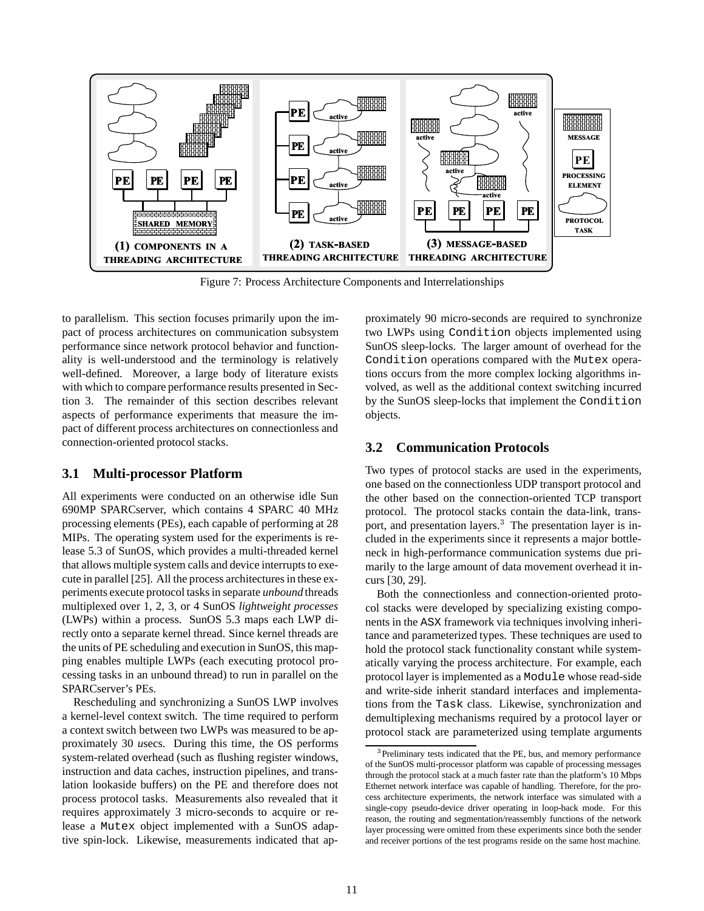

Figure 7: Process Architecture Components and Interrelationships

to parallelism. This section focuses primarily upon the impact of process architectures on communication subsystem performance since network protocol behavior and functionality is well-understood and the terminology is relatively well-defined. Moreover, a large body of literature exists with which to compare performance results presented in Section 3. The remainder of this section describes relevant aspects of performance experiments that measure the impact of different process architectures on connectionless and connection-oriented protocol stacks.

## **3.1 Multi-processor Platform**

All experiments were conducted on an otherwise idle Sun 690MP SPARCserver, which contains 4 SPARC 40 MHz processing elements (PEs), each capable of performing at 28 MIPs. The operating system used for the experiments is release 5.3 of SunOS, which provides a multi-threaded kernel that allows multiple system calls and device interrupts to execute in parallel [25]. All the process architectures in these experiments execute protocol tasks in separate *unbound* threads multiplexed over 1, 2, 3, or 4 SunOS *lightweight processes* (LWPs) within a process. SunOS 5.3 maps each LWP directly onto a separate kernel thread. Since kernel threads are the units of PE scheduling and execution in SunOS, this mapping enables multiple LWPs (each executing protocol processing tasks in an unbound thread) to run in parallel on the SPARCserver's PEs.

Rescheduling and synchronizing a SunOS LWP involves a kernel-level context switch. The time required to perform a context switch between two LWPs was measured to be approximately 30 *u*secs. During this time, the OS performs system-related overhead (such as flushing register windows, instruction and data caches, instruction pipelines, and translation lookaside buffers) on the PE and therefore does not process protocol tasks. Measurements also revealed that it requires approximately 3 micro-seconds to acquire or release a Mutex object implemented with a SunOS adaptive spin-lock. Likewise, measurements indicated that approximately 90 micro-seconds are required to synchronize two LWPs using Condition objects implemented using SunOS sleep-locks. The larger amount of overhead for the Condition operations compared with the Mutex operations occurs from the more complex locking algorithms involved, as well as the additional context switching incurred by the SunOS sleep-locks that implement the Condition objects.

## **3.2 Communication Protocols**

Two types of protocol stacks are used in the experiments, one based on the connectionless UDP transport protocol and the other based on the connection-oriented TCP transport protocol. The protocol stacks contain the data-link, transport, and presentation layers.<sup>3</sup> The presentation layer is included in the experiments since it represents a major bottleneck in high-performance communication systems due primarily to the large amount of data movement overhead it incurs [30, 29].

Both the connectionless and connection-oriented protocol stacks were developed by specializing existing components in the ASX framework via techniques involving inheritance and parameterized types. These techniques are used to hold the protocol stack functionality constant while systematically varying the process architecture. For example, each protocol layer is implemented as a Module whose read-side and write-side inherit standard interfaces and implementations from the Task class. Likewise, synchronization and demultiplexing mechanisms required by a protocol layer or protocol stack are parameterized using template arguments

<sup>&</sup>lt;sup>3</sup>Preliminary tests indicated that the PE, bus, and memory performance of the SunOS multi-processor platform was capable of processing messages through the protocol stack at a much faster rate than the platform's 10 Mbps Ethernet network interface was capable of handling. Therefore, for the process architecture experiments, the network interface was simulated with a single-copy pseudo-device driver operating in loop-back mode. For this reason, the routing and segmentation/reassembly functions of the network layer processing were omitted from these experiments since both the sender and receiver portions of the test programs reside on the same host machine.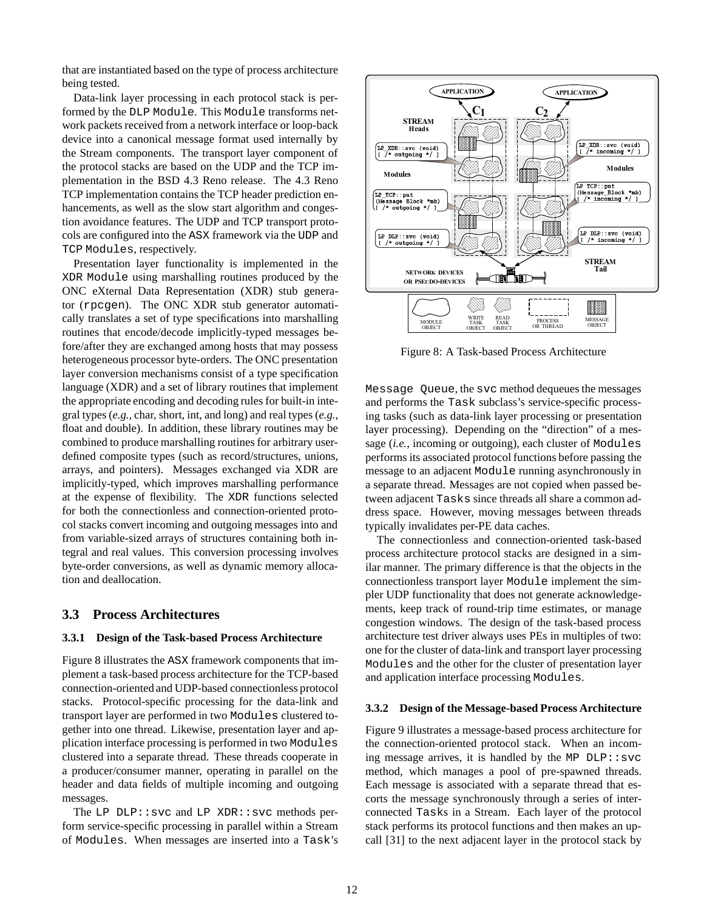that are instantiated based on the type of process architecture being tested.

Data-link layer processing in each protocol stack is performed by the DLP Module. This Module transforms network packets received from a network interface or loop-back device into a canonical message format used internally by the Stream components. The transport layer component of the protocol stacks are based on the UDP and the TCP implementation in the BSD 4.3 Reno release. The 4.3 Reno TCP implementation contains the TCP header prediction enhancements, as well as the slow start algorithm and congestion avoidance features. The UDP and TCP transport protocols are configured into the ASX framework via the UDP and TCP Modules, respectively.

Presentation layer functionality is implemented in the XDR Module using marshalling routines produced by the ONC eXternal Data Representation (XDR) stub generator (rpcgen). The ONC XDR stub generator automatically translates a set of type specifications into marshalling routines that encode/decode implicitly-typed messages before/after they are exchanged among hosts that may possess heterogeneous processor byte-orders. The ONC presentation layer conversion mechanisms consist of a type specification language (XDR) and a set of library routines that implement the appropriate encoding and decoding rules for built-in integral types (*e.g.,* char, short, int, and long) and real types (*e.g.,* float and double). In addition, these library routines may be combined to produce marshalling routines for arbitrary userdefined composite types (such as record/structures, unions, arrays, and pointers). Messages exchanged via XDR are implicitly-typed, which improves marshalling performance at the expense of flexibility. The XDR functions selected for both the connectionless and connection-oriented protocol stacks convert incoming and outgoing messages into and from variable-sized arrays of structures containing both integral and real values. This conversion processing involves byte-order conversions, as well as dynamic memory allocation and deallocation.

### **3.3 Process Architectures**

#### **3.3.1 Design of the Task-based Process Architecture**

Figure 8 illustrates the ASX framework components that implement a task-based process architecture for the TCP-based connection-oriented and UDP-based connectionless protocol stacks. Protocol-specific processing for the data-link and transport layer are performed in two Modules clustered together into one thread. Likewise, presentation layer and application interface processing is performed in two Modules clustered into a separate thread. These threads cooperate in a producer/consumer manner, operating in parallel on the header and data fields of multiple incoming and outgoing messages.

The LP  $DLP::svc$  and LP XDR::svc methods perform service-specific processing in parallel within a Stream of Modules. When messages are inserted into a Task's



Figure 8: A Task-based Process Architecture

Message Queue, the svc method dequeues the messages and performs the Task subclass's service-specific processing tasks (such as data-link layer processing or presentation layer processing). Depending on the "direction" of a message (*i.e.,* incoming or outgoing), each cluster of Modules performs its associated protocol functions before passing the message to an adjacent Module running asynchronously in a separate thread. Messages are not copied when passed between adjacent Tasks since threads all share a common address space. However, moving messages between threads typically invalidates per-PE data caches.

The connectionless and connection-oriented task-based process architecture protocol stacks are designed in a similar manner. The primary difference is that the objects in the connectionless transport layer Module implement the simpler UDP functionality that does not generate acknowledgements, keep track of round-trip time estimates, or manage congestion windows. The design of the task-based process architecture test driver always uses PEs in multiples of two: one for the cluster of data-link and transport layer processing Modules and the other for the cluster of presentation layer and application interface processing Modules.

#### **3.3.2 Design of the Message-based Process Architecture**

Figure 9 illustrates a message-based process architecture for the connection-oriented protocol stack. When an incoming message arrives, it is handled by the MP  $DLP::svc$ method, which manages a pool of pre-spawned threads. Each message is associated with a separate thread that escorts the message synchronously through a series of interconnected Tasks in a Stream. Each layer of the protocol stack performs its protocol functions and then makes an upcall [31] to the next adjacent layer in the protocol stack by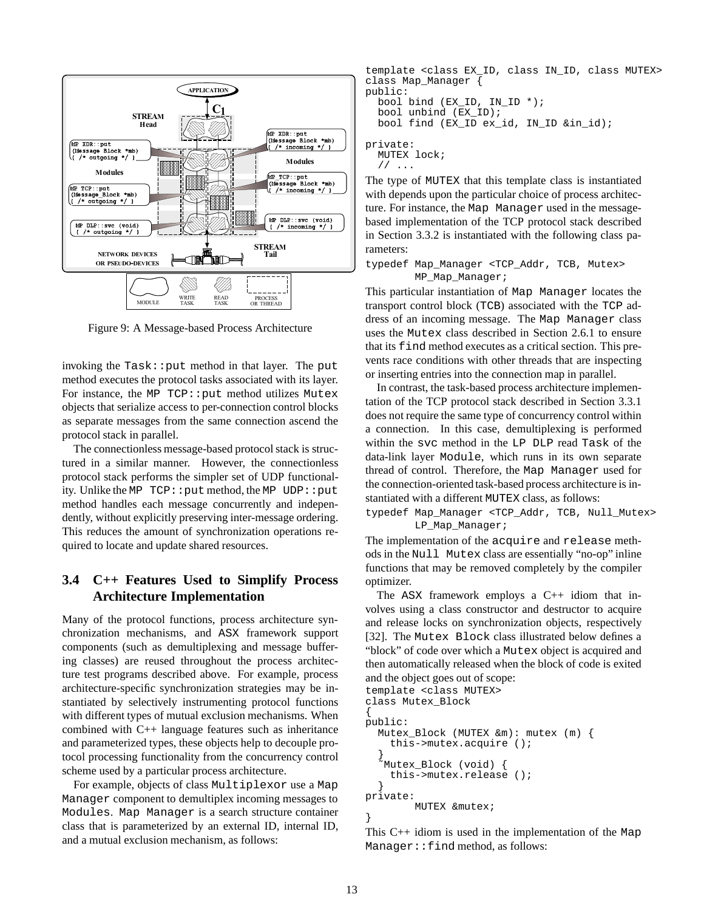

Figure 9: A Message-based Process Architecture

invoking the  $Task:put$  method in that layer. The put method executes the protocol tasks associated with its layer. For instance, the MP TCP:: put method utilizes Mutex objects that serialize access to per-connection control blocks as separate messages from the same connection ascend the protocol stack in parallel.

The connectionless message-based protocol stack is structured in a similar manner. However, the connectionless protocol stack performs the simpler set of UDP functionality. Unlike the MP TCP::put method, the MP UDP::put method handles each message concurrently and independently, without explicitly preserving inter-message ordering. This reduces the amount of synchronization operations required to locate and update shared resources.

## **3.4 C++ Features Used to Simplify Process Architecture Implementation**

Many of the protocol functions, process architecture synchronization mechanisms, and ASX framework support components (such as demultiplexing and message buffering classes) are reused throughout the process architecture test programs described above. For example, process architecture-specific synchronization strategies may be instantiated by selectively instrumenting protocol functions with different types of mutual exclusion mechanisms. When combined with C++ language features such as inheritance and parameterized types, these objects help to decouple protocol processing functionality from the concurrency control scheme used by a particular process architecture.

For example, objects of class Multiplexor use a Map Manager component to demultiplex incoming messages to Modules. Map Manager is a search structure container class that is parameterized by an external ID, internal ID, and a mutual exclusion mechanism, as follows:

template <class EX\_ID, class IN\_ID, class MUTEX> class Map\_Manager { public:

```
bool bind (EX_ID, IN_ID *);
bool unbind (EX_ID);
bool find (EX_ID ex_id, IN_ID &in_id);
```
private: MUTEX lock; // ...

The type of MUTEX that this template class is instantiated with depends upon the particular choice of process architecture. For instance, the Map Manager used in the messagebased implementation of the TCP protocol stack described in Section 3.3.2 is instantiated with the following class parameters:

typedef Map\_Manager <TCP\_Addr, TCB, Mutex> MP\_Map\_Manager;

This particular instantiation of Map Manager locates the transport control block (TCB) associated with the TCP address of an incoming message. The Map Manager class uses the Mutex class described in Section 2.6.1 to ensure that its find method executes as a critical section. This prevents race conditions with other threads that are inspecting or inserting entries into the connection map in parallel.

In contrast, the task-based process architecture implementation of the TCP protocol stack described in Section 3.3.1 does not require the same type of concurrency control within a connection. In this case, demultiplexing is performed within the svc method in the LP DLP read Task of the data-link layer Module, which runs in its own separate thread of control. Therefore, the Map Manager used for the connection-oriented task-based process architecture is instantiated with a different MUTEX class, as follows:

typedef Map\_Manager <TCP\_Addr, TCB, Null\_Mutex> LP\_Map\_Manager;

The implementation of the acquire and release methods in the Null Mutex class are essentially "no-op" inline functions that may be removed completely by the compiler optimizer.

The ASX framework employs a C++ idiom that involves using a class constructor and destructor to acquire and release locks on synchronization objects, respectively [32]. The Mutex Block class illustrated below defines a "block" of code over which a Mutex object is acquired and then automatically released when the block of code is exited and the object goes out of scope:

```
template <class MUTEX>
class Mutex_Block
{
public:
  Mutex_Block (MUTEX &m): mutex (m) {
    this->mutex.acquire ();
  }
  ˜Mutex_Block (void) {
    this->mutex.release ();
  }
private:
        MUTEX &mutex;
}
```
This C++ idiom is used in the implementation of the Map Manager::find method, as follows: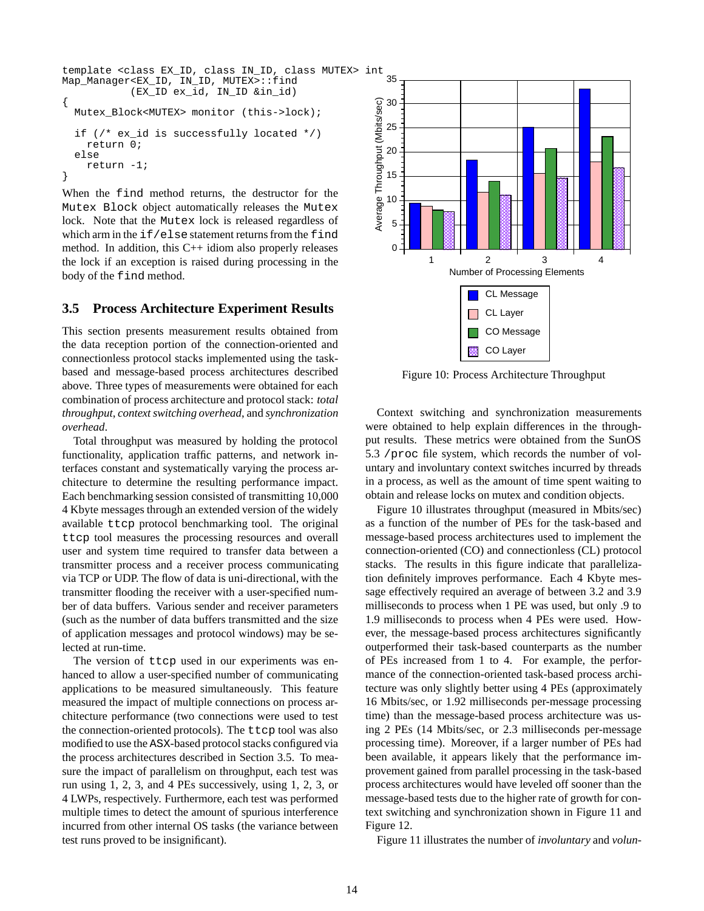```
template <class EX_ID, class IN_ID, class MUTEX> int
Map_Manager<EX_ID, IN_ID, MUTEX>::find
           (EX_ID ex_id, IN_ID &in_id)
{
  Mutex Block<MUTEX> monitor (this->lock);
  if (/* ex_id is successfully located */)
    return 0;
  else
    return -1;
}
```
When the find method returns, the destructor for the Mutex Block object automatically releases the Mutex lock. Note that the Mutex lock is released regardless of which arm in the if/else statement returns from the find method. In addition, this  $C++$  idiom also properly releases the lock if an exception is raised during processing in the body of the find method.

## **3.5 Process Architecture Experiment Results**

This section presents measurement results obtained from the data reception portion of the connection-oriented and connectionless protocol stacks implemented using the taskbased and message-based process architectures described above. Three types of measurements were obtained for each combination of process architecture and protocol stack: *total throughput*, *context switching overhead*, and *synchronization overhead*.

Total throughput was measured by holding the protocol functionality, application traffic patterns, and network interfaces constant and systematically varying the process architecture to determine the resulting performance impact. Each benchmarking session consisted of transmitting 10,000 4 Kbyte messages through an extended version of the widely available ttcp protocol benchmarking tool. The original ttcp tool measures the processing resources and overall user and system time required to transfer data between a transmitter process and a receiver process communicating via TCP or UDP. The flow of data is uni-directional, with the transmitter flooding the receiver with a user-specified number of data buffers. Various sender and receiver parameters (such as the number of data buffers transmitted and the size of application messages and protocol windows) may be selected at run-time.

The version of ttcp used in our experiments was enhanced to allow a user-specified number of communicating applications to be measured simultaneously. This feature measured the impact of multiple connections on process architecture performance (two connections were used to test the connection-oriented protocols). The ttcp tool was also modified to use the ASX-based protocol stacks configured via the process architectures described in Section 3.5. To measure the impact of parallelism on throughput, each test was run using 1, 2, 3, and 4 PEs successively, using 1, 2, 3, or 4 LWPs, respectively. Furthermore, each test was performed multiple times to detect the amount of spurious interference incurred from other internal OS tasks (the variance between test runs proved to be insignificant).



Figure 10: Process Architecture Throughput

Context switching and synchronization measurements were obtained to help explain differences in the throughput results. These metrics were obtained from the SunOS 5.3 /proc file system, which records the number of voluntary and involuntary context switches incurred by threads in a process, as well as the amount of time spent waiting to obtain and release locks on mutex and condition objects.

Figure 10 illustrates throughput (measured in Mbits/sec) as a function of the number of PEs for the task-based and message-based process architectures used to implement the connection-oriented (CO) and connectionless (CL) protocol stacks. The results in this figure indicate that parallelization definitely improves performance. Each 4 Kbyte message effectively required an average of between 3.2 and 3.9 milliseconds to process when 1 PE was used, but only .9 to 1.9 milliseconds to process when 4 PEs were used. However, the message-based process architectures significantly outperformed their task-based counterparts as the number of PEs increased from 1 to 4. For example, the performance of the connection-oriented task-based process architecture was only slightly better using 4 PEs (approximately 16 Mbits/sec, or 1.92 milliseconds per-message processing time) than the message-based process architecture was using 2 PEs (14 Mbits/sec, or 2.3 milliseconds per-message processing time). Moreover, if a larger number of PEs had been available, it appears likely that the performance improvement gained from parallel processing in the task-based process architectures would have leveled off sooner than the message-based tests due to the higher rate of growth for context switching and synchronization shown in Figure 11 and Figure 12.

Figure 11 illustrates the number of *involuntary* and *volun-*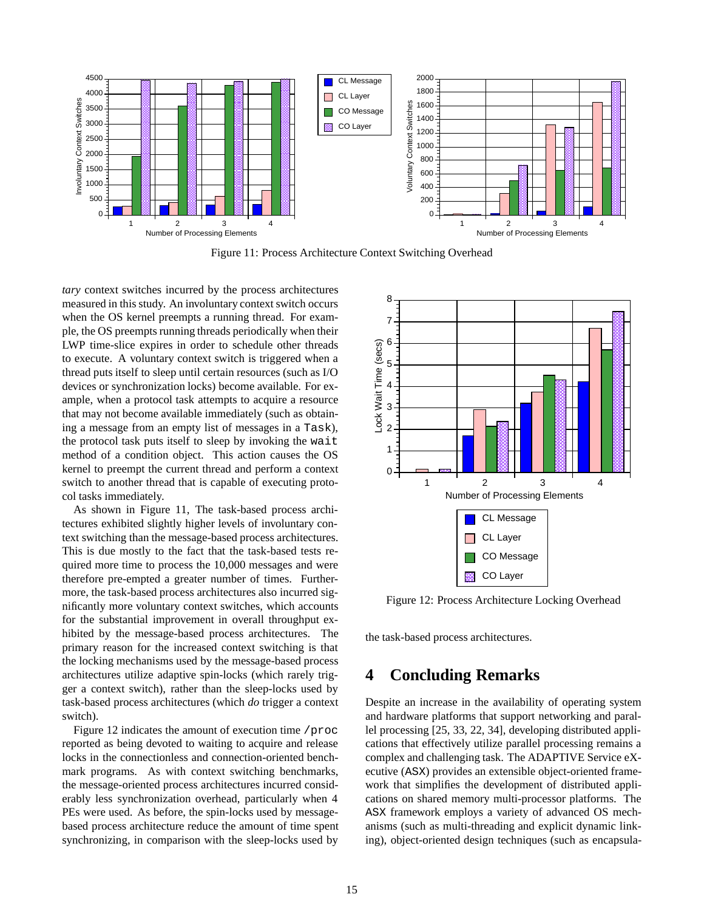

Figure 11: Process Architecture Context Switching Overhead

*tary* context switches incurred by the process architectures measured in this study. An involuntary context switch occurs when the OS kernel preempts a running thread. For example, the OS preempts running threads periodically when their LWP time-slice expires in order to schedule other threads to execute. A voluntary context switch is triggered when a thread puts itself to sleep until certain resources (such as I/O devices or synchronization locks) become available. For example, when a protocol task attempts to acquire a resource that may not become available immediately (such as obtaining a message from an empty list of messages in a Task), the protocol task puts itself to sleep by invoking the wait method of a condition object. This action causes the OS kernel to preempt the current thread and perform a context switch to another thread that is capable of executing protocol tasks immediately.

As shown in Figure 11, The task-based process architectures exhibited slightly higher levels of involuntary context switching than the message-based process architectures. This is due mostly to the fact that the task-based tests required more time to process the 10,000 messages and were therefore pre-empted a greater number of times. Furthermore, the task-based process architectures also incurred significantly more voluntary context switches, which accounts for the substantial improvement in overall throughput exhibited by the message-based process architectures. The primary reason for the increased context switching is that the locking mechanisms used by the message-based process architectures utilize adaptive spin-locks (which rarely trigger a context switch), rather than the sleep-locks used by task-based process architectures (which *do* trigger a context switch).

Figure 12 indicates the amount of execution time /proc reported as being devoted to waiting to acquire and release locks in the connectionless and connection-oriented benchmark programs. As with context switching benchmarks, the message-oriented process architectures incurred considerably less synchronization overhead, particularly when 4 PEs were used. As before, the spin-locks used by messagebased process architecture reduce the amount of time spent synchronizing, in comparison with the sleep-locks used by



Figure 12: Process Architecture Locking Overhead

the task-based process architectures.

## **4 Concluding Remarks**

Despite an increase in the availability of operating system and hardware platforms that support networking and parallel processing [25, 33, 22, 34], developing distributed applications that effectively utilize parallel processing remains a complex and challenging task. The ADAPTIVE Service eXecutive (ASX) provides an extensible object-oriented framework that simplifies the development of distributed applications on shared memory multi-processor platforms. The ASX framework employs a variety of advanced OS mechanisms (such as multi-threading and explicit dynamic linking), object-oriented design techniques (such as encapsula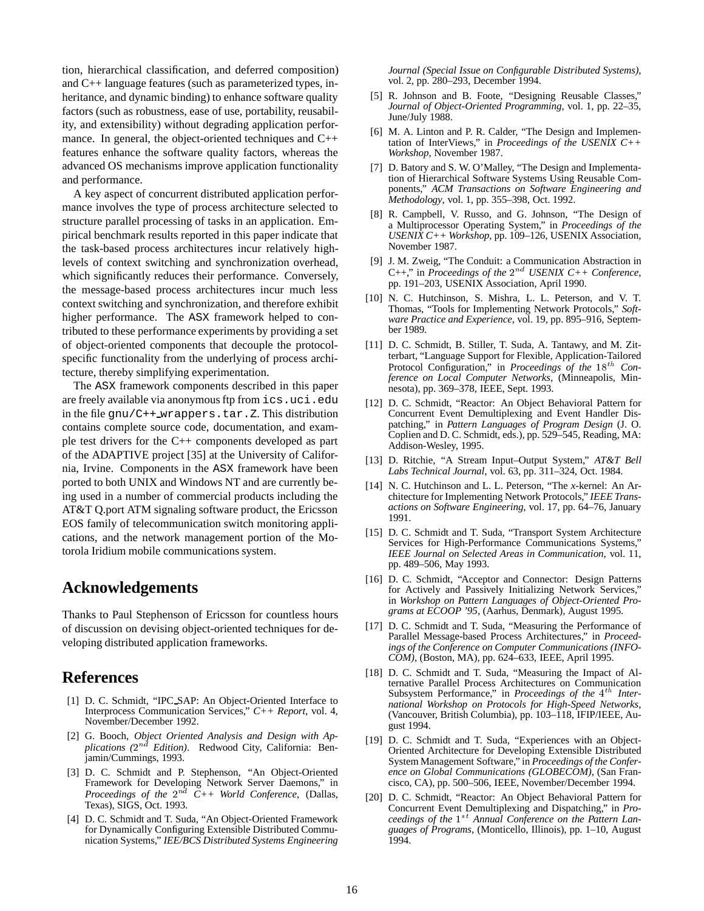tion, hierarchical classification, and deferred composition) and C++ language features (such as parameterized types, inheritance, and dynamic binding) to enhance software quality factors (such as robustness, ease of use, portability, reusability, and extensibility) without degrading application performance. In general, the object-oriented techniques and C++ features enhance the software quality factors, whereas the advanced OS mechanisms improve application functionality and performance.

A key aspect of concurrent distributed application performance involves the type of process architecture selected to structure parallel processing of tasks in an application. Empirical benchmark results reported in this paper indicate that the task-based process architectures incur relatively highlevels of context switching and synchronization overhead, which significantly reduces their performance. Conversely, the message-based process architectures incur much less context switching and synchronization, and therefore exhibit higher performance. The ASX framework helped to contributed to these performance experiments by providing a set of object-oriented components that decouple the protocolspecific functionality from the underlying of process architecture, thereby simplifying experimentation.

The ASX framework components described in this paper are freely available via anonymous ftp from ics.uci.edu in the file  $gnu/C++wrappers.tar.Z.$  This distribution contains complete source code, documentation, and example test drivers for the C++ components developed as part of the ADAPTIVE project [35] at the University of California, Irvine. Components in the ASX framework have been ported to both UNIX and Windows NT and are currently being used in a number of commercial products including the AT&T Q.port ATM signaling software product, the Ericsson EOS family of telecommunication switch monitoring applications, and the network management portion of the Motorola Iridium mobile communications system.

## **Acknowledgements**

Thanks to Paul Stephenson of Ericsson for countless hours of discussion on devising object-oriented techniques for developing distributed application frameworks.

## **References**

- [1] D. C. Schmidt, "IPC\_SAP: An Object-Oriented Interface to Interprocess Communication Services," *C++ Report*, vol. 4, November/December 1992.
- [2] G. Booch, *Object Oriented Analysis and Design with Ap*plications (2<sup>nd</sup> Edition). Redwood City, California: Benjamin/Cummings, 1993.
- [3] D. C. Schmidt and P. Stephenson, "An Object-Oriented Framework for Developing Network Server Daemons," in *Proceedings of the*  $2^{nd}$  C++ World Conference, (Dallas, Texas), SIGS, Oct. 1993.
- [4] D. C. Schmidt and T. Suda, "An Object-Oriented Framework for Dynamically Configuring Extensible Distributed Communication Systems," *IEE/BCS Distributed Systems Engineering*

*Journal (Special Issue on Configurable Distributed Systems)*, vol. 2, pp. 280–293, December 1994.

- [5] R. Johnson and B. Foote, "Designing Reusable Classes," *Journal of Object-Oriented Programming*, vol. 1, pp. 22–35, June/July 1988.
- [6] M. A. Linton and P. R. Calder, "The Design and Implementation of InterViews," in *Proceedings of the USENIX C++ Workshop*, November 1987.
- [7] D. Batory and S. W. O'Malley, "The Design and Implementation of Hierarchical Software Systems Using Reusable Components," *ACM Transactions on Software Engineering and Methodology*, vol. 1, pp. 355–398, Oct. 1992.
- [8] R. Campbell, V. Russo, and G. Johnson, "The Design of a Multiprocessor Operating System," in *Proceedings of the USENIX C++ Workshop*, pp. 109–126, USENIX Association, November 1987.
- [9] J. M. Zweig, "The Conduit: a Communication Abstraction in  $C_{++}$ ," in *Proceedings of the*  $2^{nd}$  *USENIX C++ Conference*, pp. 191–203, USENIX Association, April 1990.
- [10] N. C. Hutchinson, S. Mishra, L. L. Peterson, and V. T. Thomas, "Tools for Implementing Network Protocols," *Software Practice and Experience*, vol. 19, pp. 895–916, September 1989.
- [11] D. C. Schmidt, B. Stiller, T. Suda, A. Tantawy, and M. Zitterbart, "Language Support for Flexible, Application-Tailored Protocol Configuration," in *Proceedings of the* 18<sup>th</sup> Con*ference on Local Computer Networks*, (Minneapolis, Minnesota), pp. 369–378, IEEE, Sept. 1993.
- [12] D. C. Schmidt, "Reactor: An Object Behavioral Pattern for Concurrent Event Demultiplexing and Event Handler Dispatching," in *Pattern Languages of Program Design* (J. O. Coplien and D. C. Schmidt, eds.), pp. 529–545, Reading, MA: Addison-Wesley, 1995.
- [13] D. Ritchie, "A Stream Input–Output System," *AT&T Bell Labs Technical Journal*, vol. 63, pp. 311–324, Oct. 1984.
- [14] N. C. Hutchinson and L. L. Peterson, "The *x*-kernel: An Architecture for Implementing Network Protocols," *IEEE Transactions on Software Engineering*, vol. 17, pp. 64–76, January 1991.
- [15] D. C. Schmidt and T. Suda, "Transport System Architecture Services for High-Performance Communications Systems," *IEEE Journal on Selected Areas in Communication*, vol. 11, pp. 489–506, May 1993.
- [16] D. C. Schmidt, "Acceptor and Connector: Design Patterns for Actively and Passively Initializing Network Services," in *Workshop on Pattern Languages of Object-Oriented Programs at ECOOP '95*, (Aarhus, Denmark), August 1995.
- [17] D. C. Schmidt and T. Suda, "Measuring the Performance of Parallel Message-based Process Architectures," in *Proceedings of the Conference on Computer Communications (INFO-COM)*, (Boston, MA), pp. 624–633, IEEE, April 1995.
- [18] D. C. Schmidt and T. Suda, "Measuring the Impact of Alternative Parallel Process Architectures on Communication Subsystem Performance," in *Proceedings of the* 4<sup>th</sup> Inter*national Workshop on Protocols for High-Speed Networks*, (Vancouver, British Columbia), pp. 103–118, IFIP/IEEE, August 1994.
- [19] D. C. Schmidt and T. Suda, "Experiences with an Object-Oriented Architecture for Developing Extensible Distributed System Management Software," in *Proceedings of the Conference on Global Communications (GLOBECOM)*, (San Francisco, CA), pp. 500–506, IEEE, November/December 1994.
- [20] D. C. Schmidt, "Reactor: An Object Behavioral Pattern for Concurrent Event Demultiplexing and Dispatching," in *Pro*ceedings of the 1<sup>st</sup> Annual Conference on the Pattern Lan*guages of Programs*, (Monticello, Illinois), pp. 1–10, August 1994.